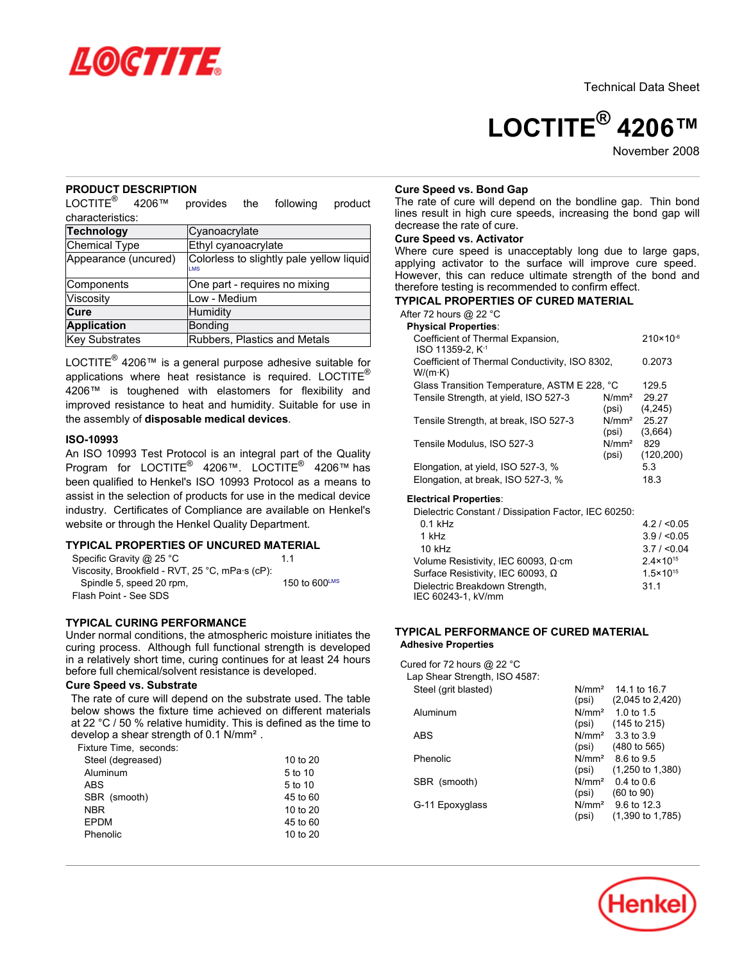

Technical Data Sheet

# **LOCTITE® 4206™**

November<sub>2008</sub>

# **PRODUCT DESCRIPTION**

 $LOCTITE<sup>®</sup>$  4206™ provides the following product characteristics:

| <b>Technology</b>    | Cyanoacrylate                                          |
|----------------------|--------------------------------------------------------|
| Chemical Type        | Ethyl cyanoacrylate                                    |
| Appearance (uncured) | Colorless to slightly pale yellow liquid<br><b>IMS</b> |
| Components           | One part - requires no mixing                          |
| Viscosity            | Low - Medium                                           |
| Cure                 | Humidity                                               |
| <b>Application</b>   | Bonding                                                |
| Key Substrates       | Rubbers, Plastics and Metals                           |

LOCTITE® 4206™ is a general purpose adhesive suitable for applications where heat resistance is required. LOCTITE $^{\circ}$ 4206™ is toughened with elastomers for flexibility and improved resistance to heat and humidity. Suitable for use in the assembly of **disposable medical devices**.

#### **ISO-10993**

An ISO 10993 Test Protocol is an integral part of the Quality Program for LOCTITE® 4206™. LOCTITE® 4206™ has been qualified to Henkel's ISO 10993 Protocol as a means to assist in the selection of products for use in the medical device industry. Certificates of Compliance are available on Henkel's website or through the Henkel Quality Department.

# **TYPICAL PROPERTIES OF UNCURED MATERIAL**

| Specific Gravity @ 25 °C                                | 11                        |
|---------------------------------------------------------|---------------------------|
| Viscosity, Brookfield - RVT, 25 °C, mPa $\cdot$ s (cP): |                           |
| Spindle 5, speed 20 rpm,                                | 150 to $600^{\text{LMS}}$ |
| Flash Point - See SDS                                   |                           |

# **TYPICAL CURING PERFORMANCE**

Under normal conditions, the atmospheric moisture initiates the curing process. Although full functional strength is developed in a relatively short time, curing continues for at least 24 hours before full chemical/solvent resistance is developed.

### **Cure Speed vs. Substrate**

The rate of cure will depend on the substrate used. The table below shows the fixture time achieved on different materials at 22 °C / 50 % relative humidity. This is defined as the time to develop a shear strength of 0.1 N/mm². Fixture Time, seconds:

| -ixture rime, seculius. |          |
|-------------------------|----------|
| Steel (degreased)       | 10 to 20 |
| Aluminum                | 5 to 10  |
| ABS                     | 5 to 10  |
| SBR (smooth)            | 45 to 60 |
| <b>NBR</b>              | 10 to 20 |
| <b>EPDM</b>             | 45 to 60 |
| Phenolic                | 10 to 20 |
|                         |          |

# **Cure Speed vs. Bond Gap**

The rate of cure will depend on the bondline gap. Thin bond lines result in high cure speeds, increasing the bond gap will decrease the rate of cure.

# **Cure Speed vs. Activator**

Where cure speed is unacceptably long due to large gaps, applying activator to the surface will improve cure speed. However, this can reduce ultimate strength of the bond and therefore testing is recommended to confirm effect.

# **TYPICAL PROPERTIES OF CURED MATERIAL**

After 72 hours @ 22 °C

| <b>Physical Properties:</b>                                       |                            |                      |
|-------------------------------------------------------------------|----------------------------|----------------------|
| Coefficient of Thermal Expansion,<br>ISO 11359-2. K <sup>-1</sup> |                            | $210 \times 10^{-6}$ |
| Coefficient of Thermal Conductivity, ISO 8302,<br>$W/(m \cdot K)$ |                            | 0.2073               |
| Glass Transition Temperature, ASTM E 228, °C                      |                            | 129.5                |
| Tensile Strength, at yield, ISO 527-3                             | N/mm <sup>2</sup><br>(psi) | 29.27<br>(4, 245)    |
| Tensile Strength, at break, ISO 527-3                             | N/mm <sup>2</sup><br>(psi) | 25.27<br>(3,664)     |
| Tensile Modulus, ISO 527-3                                        | N/mm <sup>2</sup><br>(psi) | 829<br>(120, 200)    |
| Elongation, at yield, ISO 527-3, %                                |                            | 5.3                  |
| Elongation, at break, ISO 527-3, %                                |                            | 18.3                 |

#### **Electrical Properties**:

Dielectric Constant / Dissipation Factor, IEC 60250:

| $0.1$ kHz                           | 4.2 / < 0.05         |
|-------------------------------------|----------------------|
| 1 kHz                               | 3.9 / < 0.05         |
| $10$ kHz                            | 3.7 / < 0.04         |
| Volume Resistivity, IEC 60093, Ω·cm | $2.4 \times 10^{15}$ |
| Surface Resistivity, IEC 60093, Ω   | $1.5 \times 10^{15}$ |
| Dielectric Breakdown Strength,      | 31.1                 |
| IEC 60243-1, kV/mm                  |                      |

# **TYPICAL PERFORMANCE OF CURED MATERIAL Adhesive Properties**

Cured for 72 hours @ 22 °C Lap Shear Strength, ISO 4587: Steel (grit blasted) N/mm<sup>2</sup> 14.1 to 16.7 (psi) (2,045 to 2,420) Aluminum N/mm<sup>2</sup> 1.0 to 1.5 (psi) (145 to 215) ABS N/mm<sup>2</sup> 3.3 to 3.9 (psi) (480 to 565) Phenolic N/mm<sup>2</sup> 8.6 to 9.5 (psi) (1,250 to 1,380) SBR (smooth)  $N/mm^2$  0.4 to 0.6<br>(psi) (60 to 90) (60 to 90) G-11 Epoxyglass N/mm<sup>2</sup> 9.6 to 12.3 (psi) (1,390 to 1,785)

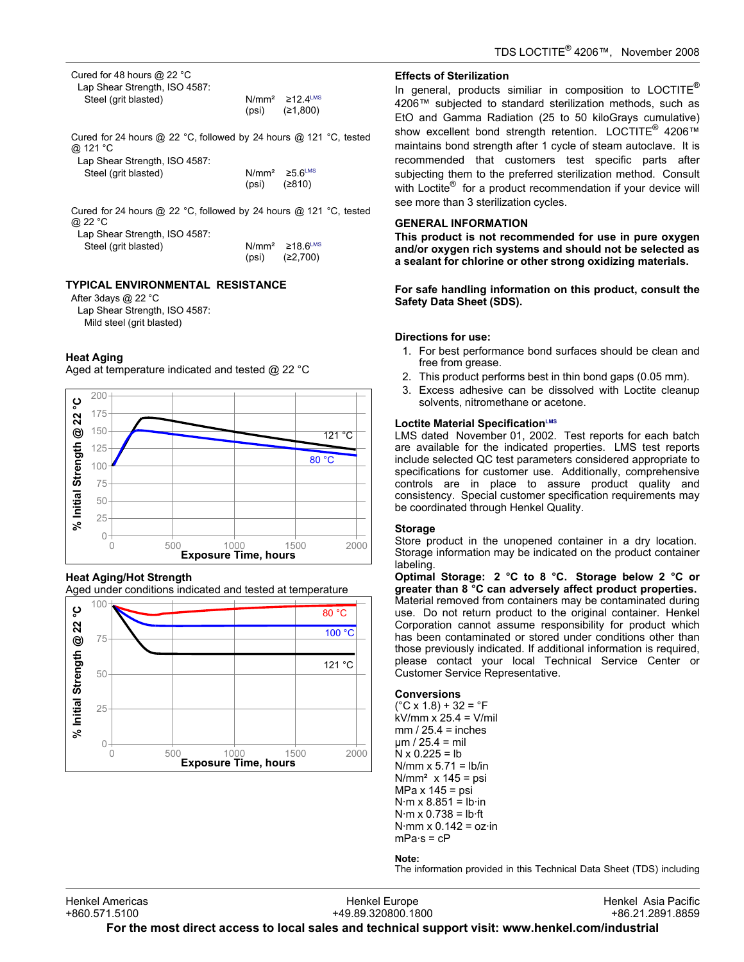Cured for 48 hours @ 22 °C Lap Shear Strength, ISO 4587: Steel (grit blasted) N/mm<sup>2</sup> ≥12.4<sup>LMS</sup><br>(psi) (≥1.800)

| $N/mm^2$ | $≥12.4$ <sup>LM</sup> |
|----------|-----------------------|
| (psi)    | (≥1,800)              |

Cured for 24 hours @ 22 °C, followed by 24 hours @ 121 °C, tested @ 121 °C  $L$  Observation strength, IOO 4587

| Lap Shear Strength, ISO 4587: |                                 |        |
|-------------------------------|---------------------------------|--------|
| Steel (grit blasted)          | $N/mm^2 \ge 5.6$ <sup>LMS</sup> |        |
|                               | (psi)                           | (≥810) |

Cured for 24 hours @ 22 °C, followed by 24 hours @ 121 °C, tested @ 22 °C

| Lap Shear Strength, ISO 4587: |                               |
|-------------------------------|-------------------------------|
| Steel (grit blasted)          | $N/mm^2$ 218.6 <sup>LMS</sup> |

| $N/mm^2$ | 218.6™   |
|----------|----------|
| (psi)    | (≥2,700) |

# **TYPICAL ENVIRONMENTAL RESISTANCE**

After 3days @ 22 °C Lap Shear Strength, ISO 4587: Mild steel (grit blasted)

# **Heat Aging**

Aged at temperature indicated and tested  $\omega$  22 °C



# **Heat Aging/Hot Strength**

Aged under conditions indicated and tested at temperature



# **Effects of Sterilization**

In general, products similiar in composition to LOCTITE® 4206™ subjected to standard sterilization methods, such as EtO and Gamma Radiation (25 to 50 kiloGrays cumulative) show excellent bond strength retention. LOCTITE® 4206™ maintains bond strength after 1 cycle of steam autoclave. It is recommended that customers test specific parts after subjecting them to the preferred sterilization method. Consult with Loctite<sup>®</sup> for a product recommendation if your device will see more than 3 sterilization cycles.

# **GENERAL INFORMATION**

**This product is not recommended for use in pure oxygen and/or oxygen rich systems and should not be selected as a sealant for chlorine or other strong oxidizing materials.**

**For safe handling information on this product, consult the Safety Data Sheet (SDS).**

# **Directions for use:**

- 1. For best performance bond surfaces should be clean and free from grease.
- 2. This product performs best in thin bond gaps (0.05 mm).
- 3. Excess adhesive can be dissolved with Loctite cleanup solvents, nitromethane or acetone.

# **Loctite Material SpecificationLMS**

LMS dated November 01, 2002. Test reports for each batch are available for the indicated properties. LMS test reports include selected QC test parameters considered appropriate to specifications for customer use. Additionally, comprehensive controls are in place to assure product quality and consistency. Special customer specification requirements may be coordinated through Henkel Quality.

# **Storage**

Store product in the unopened container in a dry location. Storage information may be indicated on the product container labeling.

**Optimal Storage: 2 °C to 8 °C. Storage below 2 °C or greater than 8 °C can adversely affect product properties.** Material removed from containers may be contaminated during use. Do not return product to the original container. Henkel Corporation cannot assume responsibility for product which has been contaminated or stored under conditions other than those previously indicated. If additional information is required, please contact your local Technical Service Center or Customer Service Representative.

# **Conversions**

 $(^{\circ}C$  x 1.8) + 32 =  $^{\circ}F$ kV/mm x 25.4 = V/mil  $mm / 25.4 = inches$  $µm / 25.4 = mil$  $N \times 0.225 = lb$  $N/mm \times 5.71 = lb/in$  $N/mm<sup>2</sup>$  x 145 = psi MPa x 145 = psi  $N·m \times 8.851 = lb·in$  $N·m \times 0.738 = lb·ft$ N $\cdot$ mm x 0.142 = oz $\cdot$ in  $mPa·s = cP$ 

# **Note:**

The information provided in this Technical Data Sheet (TDS) including

Henkel Europe +49.89.320800.1800 **For the most direct access to local sales and technical support visit: www.henkel.com/industrial**